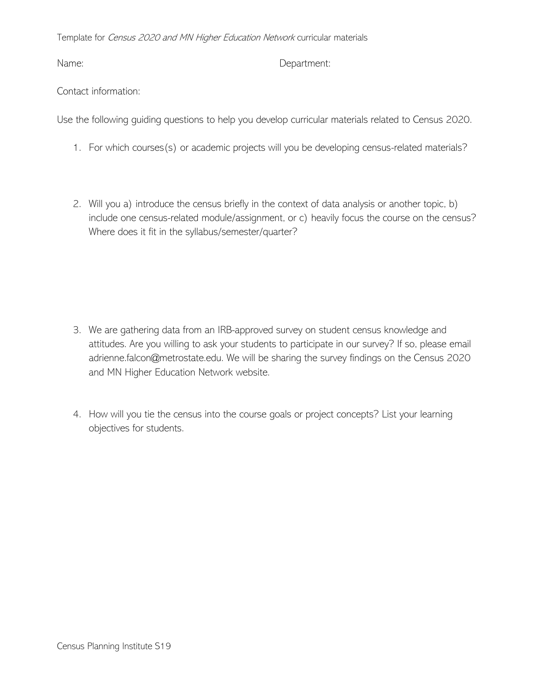Template for Census 2020 and MN Higher Education Network curricular materials

## Name: Department:

## Contact information:

Use the following guiding questions to help you develop curricular materials related to Census 2020.

- 1. For which courses(s) or academic projects will you be developing census-related materials?
- 2. Will you a) introduce the census briefly in the context of data analysis or another topic, b) include one census-related module/assignment, or c) heavily focus the course on the census? Where does it fit in the syllabus/semester/quarter?

- 3. We are gathering data from an IRB-approved survey on student census knowledge and attitudes. Are you willing to ask your students to participate in our survey? If so, please email adrienne.falcon@metrostate.edu. We will be sharing the survey findings on the Census 2020 and MN Higher Education Network website.
- 4. How will you tie the census into the course goals or project concepts? List your learning objectives for students.